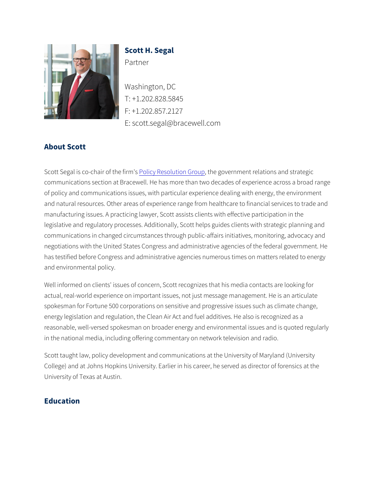Scott H. Segal Partner

Washington, DC T: +1.202.828.5845 F: +1.202.857.2127 Escott.segal@bracewell.com

## About Scott

Scott Segal is co-cheadtiof thes bilium disting Corow pernment relations and stra communications section at Bracewell. He has more than two decades of policy and communications issues, with particular experience deal and natural resources. Other areas of experience range from healthc manufacturing issues. A practicing lawyer, Scott assists clients with legislative and regulatory processes. Additionally, Scott helps guide communications in changed circumstances through public-affairs init negotiations with the United States Congress and administrative age has testified before Congress and administrative agencies numerous and environmental policy.

Well informed on clients' issues of concern, Scott recognizes that hi actual, real-world experience on important issues, not just message spokesman for Fortune 500 corporations on sensitive and progressiv energy legislation and regulation, the Clean Air Act and fuel additive reasonable, well-versed spokesman on broader energy and environme in the national media, including offering commentary on network tele

Scott taught law, policy development and communications at the Univ College) and at Johns Hopkins University. Earlier in his career, he s University of Texas at Austin.

Education